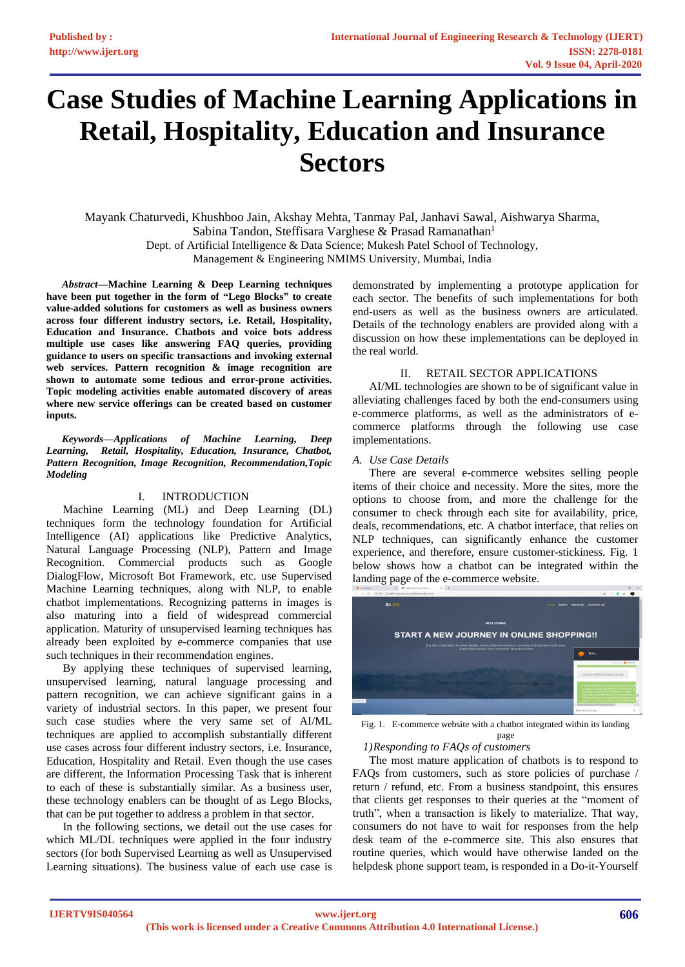# **Case Studies of Machine Learning Applications in Retail, Hospitality, Education and Insurance Sectors**

Mayank Chaturvedi, Khushboo Jain, Akshay Mehta, Tanmay Pal, Janhavi Sawal, Aishwarya Sharma, Sabina Tandon, Steffisara Varghese & Prasad Ramanathan<sup>1</sup> Dept. of Artificial Intelligence & Data Science; Mukesh Patel School of Technology, Management & Engineering NMIMS University, Mumbai, India

*Abstract***—Machine Learning & Deep Learning techniques have been put together in the form of "Lego Blocks" to create value-added solutions for customers as well as business owners across four different industry sectors, i.e. Retail, Hospitality, Education and Insurance. Chatbots and voice bots address multiple use cases like answering FAQ queries, providing guidance to users on specific transactions and invoking external web services. Pattern recognition & image recognition are shown to automate some tedious and error-prone activities. Topic modeling activities enable automated discovery of areas where new service offerings can be created based on customer inputs.**

*Keywords—Applications of Machine Learning, Deep Learning, Retail, Hospitality, Education, Insurance, Chatbot, Pattern Recognition, Image Recognition, Recommendation,Topic Modeling*

## I. INTRODUCTION

Machine Learning (ML) and Deep Learning (DL) techniques form the technology foundation for Artificial Intelligence (AI) applications like Predictive Analytics, Natural Language Processing (NLP), Pattern and Image Recognition. Commercial products such as Google DialogFlow, Microsoft Bot Framework, etc. use Supervised Machine Learning techniques, along with NLP, to enable chatbot implementations. Recognizing patterns in images is also maturing into a field of widespread commercial application. Maturity of unsupervised learning techniques has already been exploited by e-commerce companies that use such techniques in their recommendation engines.

By applying these techniques of supervised learning, unsupervised learning, natural language processing and pattern recognition, we can achieve significant gains in a variety of industrial sectors. In this paper, we present four such case studies where the very same set of AI/ML techniques are applied to accomplish substantially different use cases across four different industry sectors, i.e. Insurance, Education, Hospitality and Retail. Even though the use cases are different, the Information Processing Task that is inherent to each of these is substantially similar. As a business user, these technology enablers can be thought of as Lego Blocks, that can be put together to address a problem in that sector.

In the following sections, we detail out the use cases for which ML/DL techniques were applied in the four industry sectors (for both Supervised Learning as well as Unsupervised Learning situations). The business value of each use case is

demonstrated by implementing a prototype application for each sector. The benefits of such implementations for both end-users as well as the business owners are articulated. Details of the technology enablers are provided along with a discussion on how these implementations can be deployed in the real world.

## II. RETAIL SECTOR APPLICATIONS

AI/ML technologies are shown to be of significant value in alleviating challenges faced by both the end-consumers using e-commerce platforms, as well as the administrators of ecommerce platforms through the following use case implementations.

## *A. Use Case Details*

There are several e-commerce websites selling people items of their choice and necessity. More the sites, more the options to choose from, and more the challenge for the consumer to check through each site for availability, price, deals, recommendations, etc. A chatbot interface, that relies on NLP techniques, can significantly enhance the customer experience, and therefore, ensure customer-stickiness. Fig. 1 below shows how a chatbot can be integrated within the landing page of the e-commerce website.



Fig. 1. E-commerce website with a chatbot integrated within its landing page

# *1)Responding to FAQs of customers*

The most mature application of chatbots is to respond to FAQs from customers, such as store policies of purchase / return / refund, etc. From a business standpoint, this ensures that clients get responses to their queries at the "moment of truth", when a transaction is likely to materialize. That way, consumers do not have to wait for responses from the help desk team of the e-commerce site. This also ensures that routine queries, which would have otherwise landed on the helpdesk phone support team, is responded in a Do-it-Yourself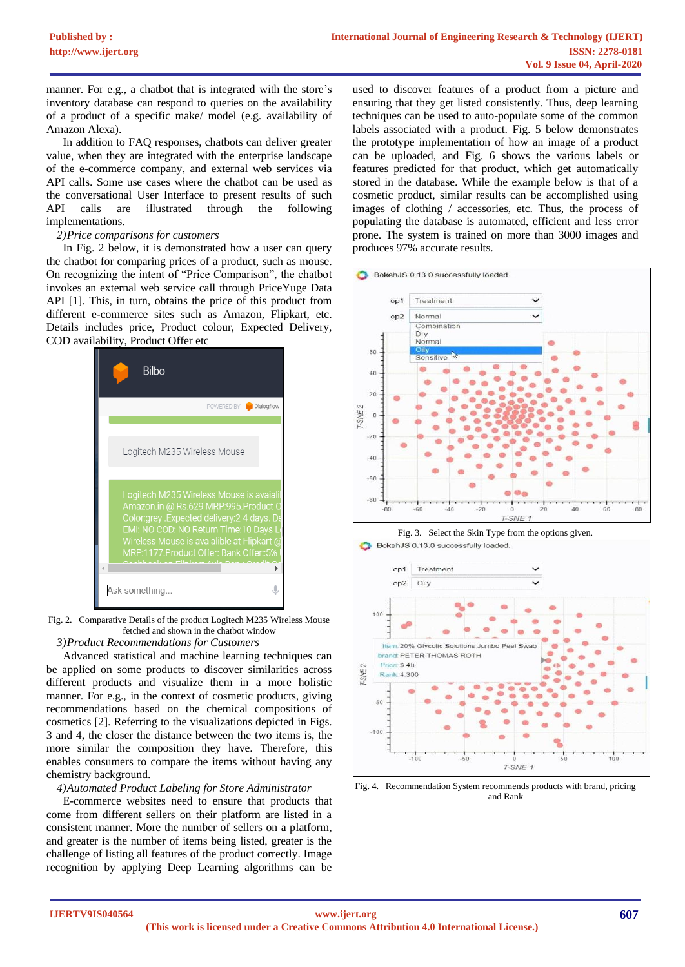manner. For e.g., a chatbot that is integrated with the store's inventory database can respond to queries on the availability of a product of a specific make/ model (e.g. availability of Amazon Alexa).

In addition to FAQ responses, chatbots can deliver greater value, when they are integrated with the enterprise landscape of the e-commerce company, and external web services via API calls. Some use cases where the chatbot can be used as the conversational User Interface to present results of such API calls are illustrated through the following implementations.

#### *2)Price comparisons for customers*

In Fig. 2 below, it is demonstrated how a user can query the chatbot for comparing prices of a product, such as mouse. On recognizing the intent of "Price Comparison", the chatbot invokes an external web service call through PriceYuge Data API [1]. This, in turn, obtains the price of this product from different e-commerce sites such as Amazon, Flipkart, etc. Details includes price, Product colour, Expected Delivery, COD availability, Product Offer etc



Fig. 2. Comparative Details of the product Logitech M235 Wireless Mouse fetched and shown in the chatbot window

*3)Product Recommendations for Customers*

Advanced statistical and machine learning techniques can be applied on some products to discover similarities across different products and visualize them in a more holistic manner. For e.g., in the context of cosmetic products, giving recommendations based on the chemical compositions of cosmetics [2]. Referring to the visualizations depicted in Figs. 3 and 4, the closer the distance between the two items is, the more similar the composition they have. Therefore, this enables consumers to compare the items without having any chemistry background.

#### *4)Automated Product Labeling for Store Administrator*

E-commerce websites need to ensure that products that come from different sellers on their platform are listed in a consistent manner. More the number of sellers on a platform, and greater is the number of items being listed, greater is the challenge of listing all features of the product correctly. Image recognition by applying Deep Learning algorithms can be

used to discover features of a product from a picture and ensuring that they get listed consistently. Thus, deep learning techniques can be used to auto-populate some of the common labels associated with a product. Fig. 5 below demonstrates the prototype implementation of how an image of a product can be uploaded, and Fig. 6 shows the various labels or features predicted for that product, which get automatically stored in the database. While the example below is that of a cosmetic product, similar results can be accomplished using images of clothing / accessories, etc. Thus, the process of populating the database is automated, efficient and less error prone. The system is trained on more than 3000 images and produces 97% accurate results.





Fig. 4. Recommendation System recommends products with brand, pricing and Rank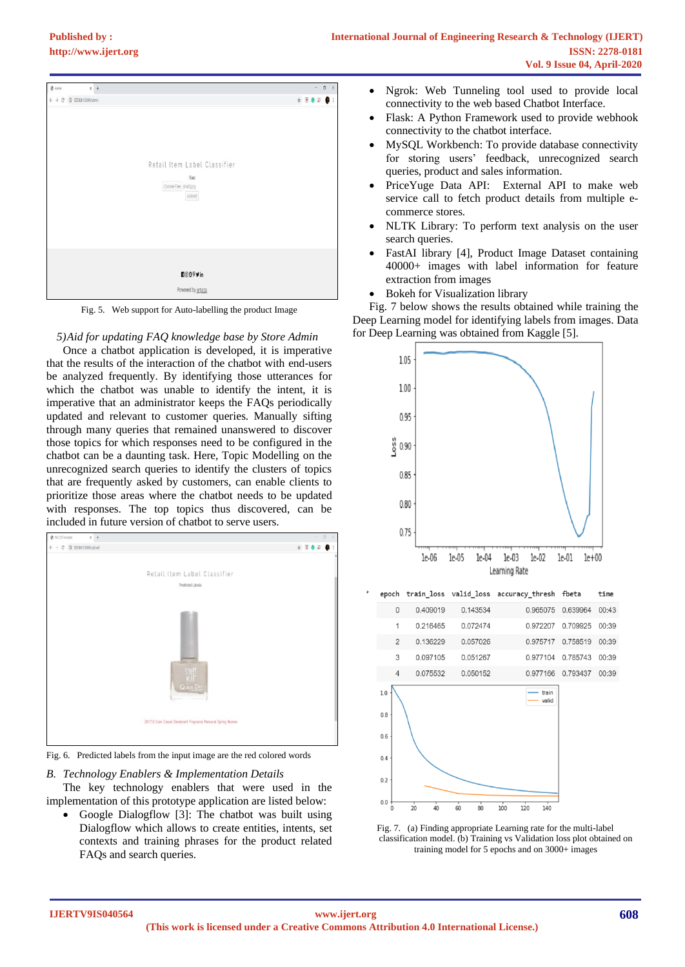| $0 \lambda$ drin<br>$x +$                                |                                                                          | $\beta$<br>$\sim$<br>X                                                                                                                                                                                                                                                                                                                              |
|----------------------------------------------------------|--------------------------------------------------------------------------|-----------------------------------------------------------------------------------------------------------------------------------------------------------------------------------------------------------------------------------------------------------------------------------------------------------------------------------------------------|
| $\leftarrow$ $\rightarrow$ $C$ $=$ 0 127.0.0.15000/admin |                                                                          | $\begin{picture}(20,20) \put(0,0){\line(1,0){10}} \put(15,0){\line(1,0){10}} \put(15,0){\line(1,0){10}} \put(15,0){\line(1,0){10}} \put(15,0){\line(1,0){10}} \put(15,0){\line(1,0){10}} \put(15,0){\line(1,0){10}} \put(15,0){\line(1,0){10}} \put(15,0){\line(1,0){10}} \put(15,0){\line(1,0){10}} \put(15,0){\line(1,0){10}} \put(15,0){\line(1$ |
|                                                          | Retail Item Label Classifier<br>Fies<br>Choose Files 56489 jog<br>Upload |                                                                                                                                                                                                                                                                                                                                                     |
|                                                          | <b>HOOPYin</b>                                                           |                                                                                                                                                                                                                                                                                                                                                     |
|                                                          | Powered by w3.css                                                        |                                                                                                                                                                                                                                                                                                                                                     |

Fig. 5. Web support for Auto-labelling the product Image

## *5)Aid for updating FAQ knowledge base by Store Admin*

Once a chatbot application is developed, it is imperative that the results of the interaction of the chatbot with end-users be analyzed frequently. By identifying those utterances for which the chatbot was unable to identify the intent, it is imperative that an administrator keeps the FAQs periodically updated and relevant to customer queries. Manually sifting through many queries that remained unanswered to discover those topics for which responses need to be configured in the chatbot can be a daunting task. Here, Topic Modelling on the unrecognized search queries to identify the clusters of topics that are frequently asked by customers, can enable clients to prioritize those areas where the chatbot needs to be updated with responses. The top topics thus discovered, can be included in future version of chatbot to serve users.



Fig. 6. Predicted labels from the input image are the red colored words

*B. Technology Enablers & Implementation Details*

The key technology enablers that were used in the implementation of this prototype application are listed below:

• Google Dialogflow [3]: The chatbot was built using Dialogflow which allows to create entities, intents, set contexts and training phrases for the product related FAQs and search queries.

- Ngrok: Web Tunneling tool used to provide local connectivity to the web based Chatbot Interface.
- Flask: A Python Framework used to provide webhook connectivity to the chatbot interface.
- MySQL Workbench: To provide database connectivity for storing users' feedback, unrecognized search queries, product and sales information.
- PriceYuge Data API:External API to make web service call to fetch product details from multiple ecommerce stores.
- NLTK Library: To perform text analysis on the user search queries.
- FastAI library [4], Product Image Dataset containing 40000+ images with label information for feature extraction from images
- Bokeh for Visualization library

Fig. 7 below shows the results obtained while training the Deep Learning model for identifying labels from images. Data for Deep Learning was obtained from Kaggle [5].



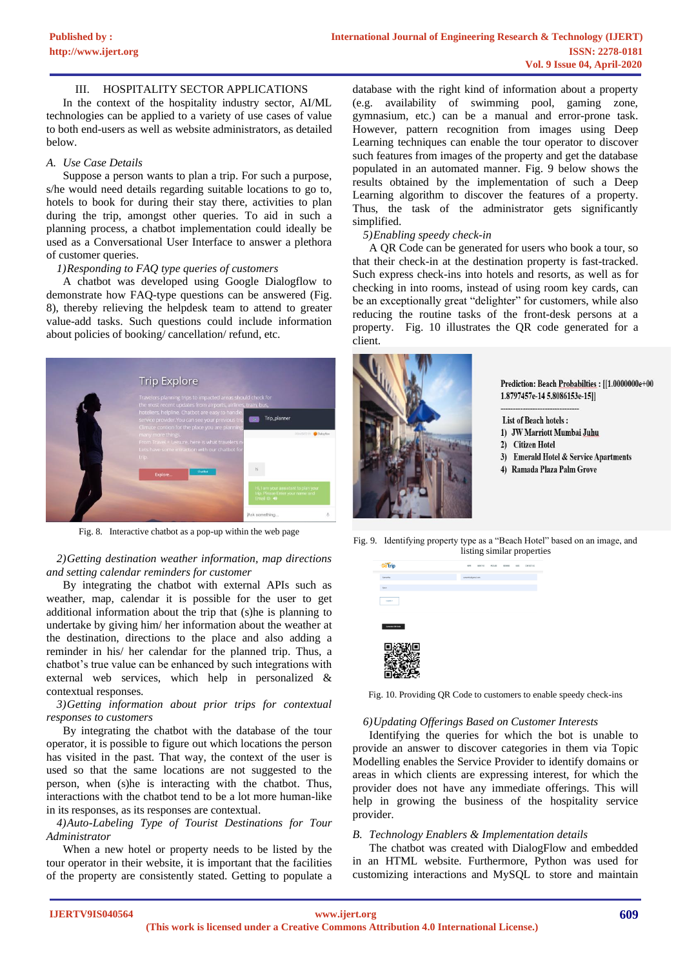#### III. HOSPITALITY SECTOR APPLICATIONS

In the context of the hospitality industry sector, AI/ML technologies can be applied to a variety of use cases of value to both end-users as well as website administrators, as detailed below.

#### *A. Use Case Details*

Suppose a person wants to plan a trip. For such a purpose, s/he would need details regarding suitable locations to go to, hotels to book for during their stay there, activities to plan during the trip, amongst other queries. To aid in such a planning process, a chatbot implementation could ideally be used as a Conversational User Interface to answer a plethora of customer queries.

#### *1)Responding to FAQ type queries of customers*

A chatbot was developed using Google Dialogflow to demonstrate how FAQ-type questions can be answered (Fig. 8), thereby relieving the helpdesk team to attend to greater value-add tasks. Such questions could include information about policies of booking/ cancellation/ refund, etc.



Fig. 8. Interactive chatbot as a pop-up within the web page

## *2)Getting destination weather information, map directions and setting calendar reminders for customer*

By integrating the chatbot with external APIs such as weather, map, calendar it is possible for the user to get additional information about the trip that (s)he is planning to undertake by giving him/ her information about the weather at the destination, directions to the place and also adding a reminder in his/ her calendar for the planned trip. Thus, a chatbot's true value can be enhanced by such integrations with external web services, which help in personalized & contextual responses.

#### *3)Getting information about prior trips for contextual responses to customers*

By integrating the chatbot with the database of the tour operator, it is possible to figure out which locations the person has visited in the past. That way, the context of the user is used so that the same locations are not suggested to the person, when (s)he is interacting with the chatbot. Thus, interactions with the chatbot tend to be a lot more human-like in its responses, as its responses are contextual.

## *4)Auto-Labeling Type of Tourist Destinations for Tour Administrator*

When a new hotel or property needs to be listed by the tour operator in their website, it is important that the facilities of the property are consistently stated. Getting to populate a

database with the right kind of information about a property (e.g. availability of swimming pool, gaming zone, gymnasium, etc.) can be a manual and error-prone task. However, pattern recognition from images using Deep Learning techniques can enable the tour operator to discover such features from images of the property and get the database populated in an automated manner. Fig. 9 below shows the results obtained by the implementation of such a Deep Learning algorithm to discover the features of a property. Thus, the task of the administrator gets significantly simplified.

### *5)Enabling speedy check-in*

A QR Code can be generated for users who book a tour, so that their check-in at the destination property is fast-tracked. Such express check-ins into hotels and resorts, as well as for checking in into rooms, instead of using room key cards, can be an exceptionally great "delighter" for customers, while also reducing the routine tasks of the front-desk persons at a property. Fig. 10 illustrates the QR code generated for a client.



Prediction: Beach Probabilties : [[1.0000000e+00 1.8797457e-14 5.8086153e-15]]

List of Beach hotels: 1) JW Marriott Mumbai Juhu 2) Citizen Hotel 3) Emerald Hotel & Service Apartments 4) Ramada Plaza Palm Grove

Fig. 9. Identifying property type as a "Beach Hotel" based on an image, and listing similar properties



Fig. 10. Providing QR Code to customers to enable speedy check-ins

#### *6)Updating Offerings Based on Customer Interests*

Identifying the queries for which the bot is unable to provide an answer to discover categories in them via Topic Modelling enables the Service Provider to identify domains or areas in which clients are expressing interest, for which the provider does not have any immediate offerings. This will help in growing the business of the hospitality service provider.

### *B. Technology Enablers & Implementation details*

The chatbot was created with DialogFlow and embedded in an HTML website. Furthermore, Python was used for customizing interactions and MySQL to store and maintain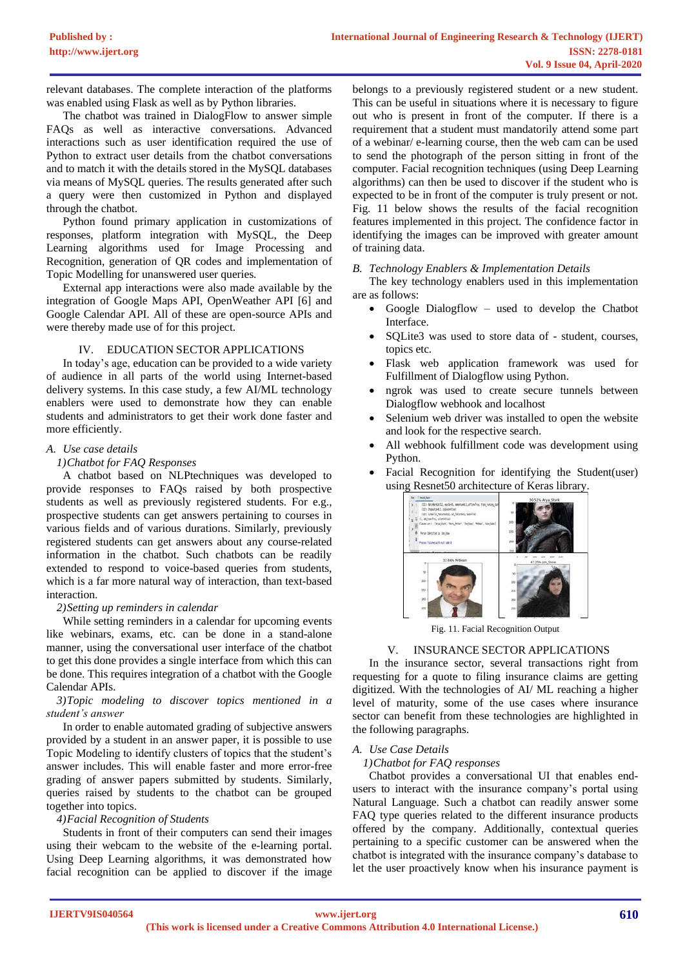relevant databases. The complete interaction of the platforms was enabled using Flask as well as by Python libraries.

The chatbot was trained in DialogFlow to answer simple FAQs as well as interactive conversations. Advanced interactions such as user identification required the use of Python to extract user details from the chatbot conversations and to match it with the details stored in the MySQL databases via means of MySQL queries. The results generated after such a query were then customized in Python and displayed through the chatbot.

Python found primary application in customizations of responses, platform integration with MySQL, the Deep Learning algorithms used for Image Processing and Recognition, generation of QR codes and implementation of Topic Modelling for unanswered user queries.

External app interactions were also made available by the integration of Google Maps API, OpenWeather API [6] and Google Calendar API. All of these are open-source APIs and were thereby made use of for this project.

## IV. EDUCATION SECTOR APPLICATIONS

In today's age, education can be provided to a wide variety of audience in all parts of the world using Internet-based delivery systems. In this case study, a few AI/ML technology enablers were used to demonstrate how they can enable students and administrators to get their work done faster and more efficiently.

## *A. Use case details*

## *1)Chatbot for FAQ Responses*

A chatbot based on NLPtechniques was developed to provide responses to FAQs raised by both prospective students as well as previously registered students. For e.g., prospective students can get answers pertaining to courses in various fields and of various durations. Similarly, previously registered students can get answers about any course-related information in the chatbot. Such chatbots can be readily extended to respond to voice-based queries from students, which is a far more natural way of interaction, than text-based interaction.

## *2)Setting up reminders in calendar*

While setting reminders in a calendar for upcoming events like webinars, exams, etc. can be done in a stand-alone manner, using the conversational user interface of the chatbot to get this done provides a single interface from which this can be done. This requires integration of a chatbot with the Google Calendar APIs.

#### *3)Topic modeling to discover topics mentioned in a student's answer*

In order to enable automated grading of subjective answers provided by a student in an answer paper, it is possible to use Topic Modeling to identify clusters of topics that the student's answer includes. This will enable faster and more error-free grading of answer papers submitted by students. Similarly, queries raised by students to the chatbot can be grouped together into topics.

#### *4)Facial Recognition of Students*

Students in front of their computers can send their images using their webcam to the website of the e-learning portal. Using Deep Learning algorithms, it was demonstrated how facial recognition can be applied to discover if the image

belongs to a previously registered student or a new student. This can be useful in situations where it is necessary to figure out who is present in front of the computer. If there is a requirement that a student must mandatorily attend some part of a webinar/ e-learning course, then the web cam can be used to send the photograph of the person sitting in front of the computer. Facial recognition techniques (using Deep Learning algorithms) can then be used to discover if the student who is expected to be in front of the computer is truly present or not. Fig. 11 below shows the results of the facial recognition features implemented in this project. The confidence factor in identifying the images can be improved with greater amount of training data.

*B. Technology Enablers & Implementation Details*

The key technology enablers used in this implementation are as follows:

- Google Dialogflow used to develop the Chatbot Interface.
- SQLite3 was used to store data of student, courses, topics etc.
- Flask web application framework was used for Fulfillment of Dialogflow using Python.
- ngrok was used to create secure tunnels between Dialogflow webhook and localhost
- Selenium web driver was installed to open the website and look for the respective search.
- All webhook fulfillment code was development using Python.
- Facial Recognition for identifying the Student(user) using Resnet50 architecture of Keras library.



Fig. 11. Facial Recognition Output

## V. INSURANCE SECTOR APPLICATIONS

In the insurance sector, several transactions right from requesting for a quote to filing insurance claims are getting digitized. With the technologies of AI/ ML reaching a higher level of maturity, some of the use cases where insurance sector can benefit from these technologies are highlighted in the following paragraphs.

## *A. Use Case Details*

*1)Chatbot for FAQ responses*

Chatbot provides a conversational UI that enables endusers to interact with the insurance company's portal using Natural Language. Such a chatbot can readily answer some FAQ type queries related to the different insurance products offered by the company. Additionally, contextual queries pertaining to a specific customer can be answered when the chatbot is integrated with the insurance company's database to let the user proactively know when his insurance payment is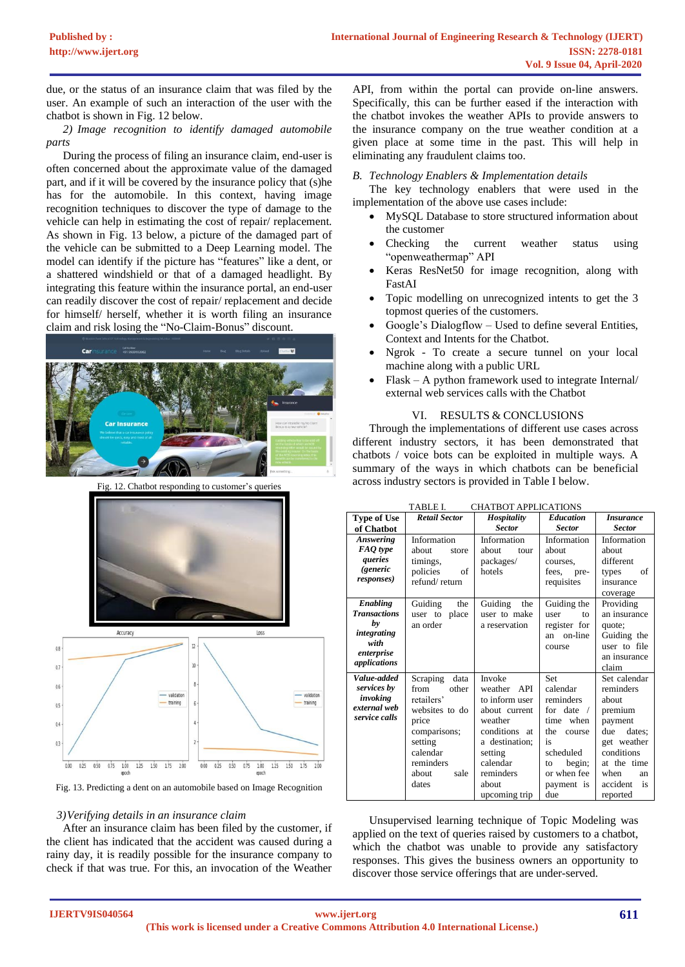due, or the status of an insurance claim that was filed by the user. An example of such an interaction of the user with the chatbot is shown in Fig. 12 below.

*2) Image recognition to identify damaged automobile parts*

During the process of filing an insurance claim, end-user is often concerned about the approximate value of the damaged part, and if it will be covered by the insurance policy that (s)he has for the automobile. In this context, having image recognition techniques to discover the type of damage to the vehicle can help in estimating the cost of repair/ replacement. As shown in Fig. 13 below, a picture of the damaged part of the vehicle can be submitted to a Deep Learning model. The model can identify if the picture has "features" like a dent, or a shattered windshield or that of a damaged headlight. By integrating this feature within the insurance portal, an end-user can readily discover the cost of repair/ replacement and decide for himself/ herself, whether it is worth filing an insurance claim and risk losing the "No-Claim-Bonus" discount.



Fig. 12. Chatbot responding to customer's queries





Fig. 13. Predicting a dent on an automobile based on Image Recognition

#### *3)Verifying details in an insurance claim*

After an insurance claim has been filed by the customer, if the client has indicated that the accident was caused during a rainy day, it is readily possible for the insurance company to check if that was true. For this, an invocation of the Weather

API, from within the portal can provide on-line answers. Specifically, this can be further eased if the interaction with the chatbot invokes the weather APIs to provide answers to the insurance company on the true weather condition at a given place at some time in the past. This will help in eliminating any fraudulent claims too.

#### *B. Technology Enablers & Implementation details*

The key technology enablers that were used in the implementation of the above use cases include:

- MySQL Database to store structured information about the customer
- Checking the current weather status using "openweathermap" API
- Keras ResNet50 for image recognition, along with FastAI
- Topic modelling on unrecognized intents to get the 3 topmost queries of the customers.
- Google's Dialogflow Used to define several Entities, Context and Intents for the Chatbot.
- Ngrok To create a secure tunnel on your local machine along with a public URL
- $F$ lask A python framework used to integrate Internal external web services calls with the Chatbot

#### VI. RESULTS & CONCLUSIONS

Through the implementations of different use cases across different industry sectors, it has been demonstrated that chatbots / voice bots can be exploited in multiple ways. A summary of the ways in which chatbots can be beneficial across industry sectors is provided in Table I below.

| TABLE I.<br><b>CHATBOT APPLICATIONS</b>                                                           |                                                                                                                                                          |                                                                                                                                                                      |                                                                                                                                                                       |                                                                                                                                                                   |  |
|---------------------------------------------------------------------------------------------------|----------------------------------------------------------------------------------------------------------------------------------------------------------|----------------------------------------------------------------------------------------------------------------------------------------------------------------------|-----------------------------------------------------------------------------------------------------------------------------------------------------------------------|-------------------------------------------------------------------------------------------------------------------------------------------------------------------|--|
| <b>Type of Use</b>                                                                                | <b>Retail Sector</b>                                                                                                                                     | Hospitality                                                                                                                                                          | <b>Education</b>                                                                                                                                                      | <i><b>Insurance</b></i>                                                                                                                                           |  |
| of Chatbot                                                                                        |                                                                                                                                                          | <b>Sector</b>                                                                                                                                                        | <b>Sector</b>                                                                                                                                                         | <b>Sector</b>                                                                                                                                                     |  |
| <b>Answering</b><br>FAQ type<br>queries                                                           | Information<br>about<br>store<br>timings,                                                                                                                | Information<br>about<br>tour<br>packages/                                                                                                                            | Information<br>about<br>courses,                                                                                                                                      | Information<br>about<br>different                                                                                                                                 |  |
| <i>(generic</i><br><i>responses</i> )                                                             | policies<br>of<br>refund/return                                                                                                                          | hotels                                                                                                                                                               | fees, pre-<br>requisites                                                                                                                                              | οf<br>types<br>insurance<br>coverage                                                                                                                              |  |
| <b>Enabling</b><br><b>Transactions</b><br>by<br>integrating<br>with<br>enterprise<br>applications | Guiding<br>the<br>place<br>user to<br>an order                                                                                                           | Guiding<br>the<br>user to make<br>a reservation                                                                                                                      | Guiding the<br>user<br>to<br>register for<br>on-line<br>an<br>course                                                                                                  | Providing<br>an insurance<br>quote;<br>Guiding the<br>user to file<br>an insurance<br>claim                                                                       |  |
| Value-added<br>services by<br>invoking<br>external web<br>service calls                           | Scraping<br>data<br>from<br>other<br>retailers'<br>websites to do<br>price<br>comparisons;<br>setting<br>calendar<br>reminders<br>about<br>sale<br>dates | Invoke<br>weather API<br>to inform user<br>about current<br>weather<br>conditions at<br>a destination:<br>setting<br>calendar<br>reminders<br>about<br>upcoming trip | <b>Set</b><br>calendar<br>reminders<br>for date<br>$\sqrt{2}$<br>when<br>time<br>the<br>course<br>is<br>scheduled<br>begin;<br>to<br>or when fee<br>payment is<br>due | Set calendar<br>reminders<br>about<br>premium<br>payment<br>dates:<br>due<br>get weather<br>conditions<br>at the time<br>when<br>an<br>accident<br>is<br>reported |  |

Unsupervised learning technique of Topic Modeling was applied on the text of queries raised by customers to a chatbot, which the chatbot was unable to provide any satisfactory responses. This gives the business owners an opportunity to discover those service offerings that are under-served.